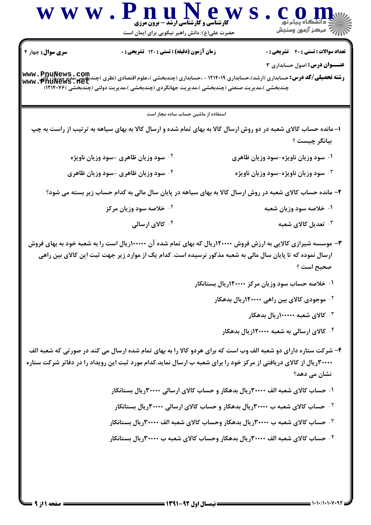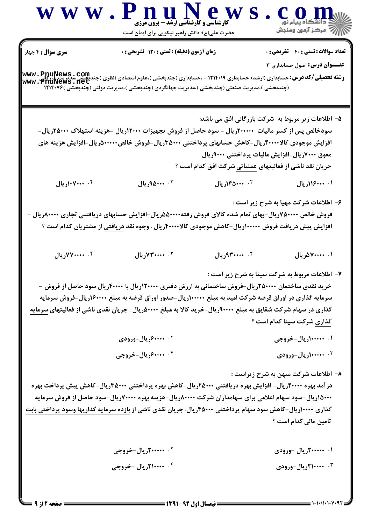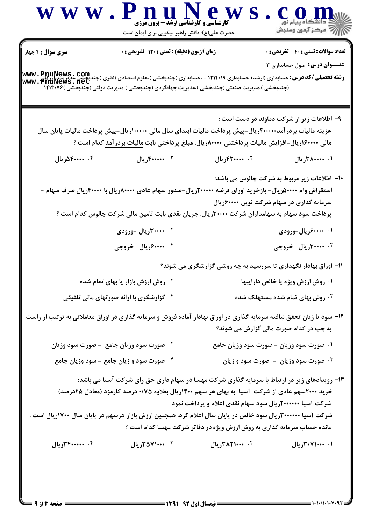|                             | حضرت علی(ع): دانش راهبر نیکویی برای ایمان است                                                                                                                                                                                                                                                                | <b>کارشناسی و کارشناسی ارشد - برون مرزی</b>                                                                                               | /W مرکز آزمون وسنجش                                                                       |
|-----------------------------|--------------------------------------------------------------------------------------------------------------------------------------------------------------------------------------------------------------------------------------------------------------------------------------------------------------|-------------------------------------------------------------------------------------------------------------------------------------------|-------------------------------------------------------------------------------------------|
| <b>سری سوال : ۴</b> چهار    | زمان آزمون (دقیقه) : تستی : ۱۲۰ تشریحی : ۰                                                                                                                                                                                                                                                                   |                                                                                                                                           | <b>تعداد سوالات : تستی : 40 ٪ تشریحی : 0</b><br><b>عنـــوان درس:</b> اصول حسابداری ۳      |
|                             | <b>رشته تحصیلی/کد درس:</b> حسابداری (ارشد)،حسابداری ۱۲۱۴۰۱۹ - ،حسابداری (چندبخشی )،علوم اقتصادی (نظری )چندیخشی،مدیر پت<br>www . PnuNews . net<br>(چندبخشی )،مدیریت صنعتی (چندبخشی )،مدیریت جهانگردی (چندبخشی )،مدیریت دولتی (چندبخشی )۱۲۱۴۰۷۶                                                                |                                                                                                                                           |                                                                                           |
|                             |                                                                                                                                                                                                                                                                                                              |                                                                                                                                           | ۹– اطلاعات زیر از شرکت دماوند در دست است :                                                |
|                             | هزینه مالیات بردر آمد۴۰۰۰۰۰ریال-پیش پرداخت مالیات ابتدای سال مالی ۱۰۰۰۰۰ریال-پیش پرداخت مالیات پایان سال<br>مالی ۱۶۰۰۰۰(ریال-افزایش مالیات پرداختنی ۸۰۰۰۰۰ریال. مبلغ پرداختی بابت مالیات بردرآمد کدام است ؟                                                                                                  |                                                                                                                                           |                                                                                           |
| ۰۴ ۴۰۰۰۰ ۵۴ ریال            | ۰۳ ۴۰۰۰۰۰۰ ریال                                                                                                                                                                                                                                                                                              | ٢. ۴۲۰۰۰۰۰ریال                                                                                                                            | ۰۱ ۲۸۰۰۰۰۰۰ ریال                                                                          |
|                             | استقراض وام ۵۰۰۰۰ ریال- بازخرید اوراق قرضه ۲۰۰۰۰۰ ریال-صدور سهام عادی ۸۰۰۰۰ ریال با ۴۰۰۰۰ ریال صرف سهام -<br>پرداخت سود سهام به سهامداران شرکت ۳۰۰۰۰ ریال. جریان نقدی بابت <u>تامین مالی</u> شرکت چالوس کدام است ؟                                                                                           |                                                                                                                                           | ∙ا− اطلاعات زیر مربوط به شرکت چالوس می باشد:<br>سرمایه گذاری در سهام شرکت نوین ۶۰۰۰۰۰ریال |
|                             | ۰۲ ۲۰۰۰۰ ریال -ورودی                                                                                                                                                                                                                                                                                         |                                                                                                                                           | ۰۱ ۶۰۰۰۰۰ریال-ورودی                                                                       |
| ۰۴ ۰۰۰۰۰ (یال- خروجی        |                                                                                                                                                                                                                                                                                                              |                                                                                                                                           | ۰۳ ۲۰۰۰۰۰ ریال -خروجی                                                                     |
|                             |                                                                                                                                                                                                                                                                                                              | 1۱- اوراق بهادار نگهداری تا سررسید به چه روشی گزارشگری می شوند؟                                                                           |                                                                                           |
|                             | ۰ <sup>۱</sup> روش ارزش بازار یا بهای تمام شده                                                                                                                                                                                                                                                               |                                                                                                                                           | ۰۱ روش ارزش ویژه یا خالص داراییها                                                         |
|                             | <sup>۴.</sup> گزارشگری با ارائه صورتهای مالی تلفیقی                                                                                                                                                                                                                                                          |                                                                                                                                           | ۰ <sup>۳</sup> روش بهای تمام شده مستهلک شده                                               |
|                             | ۱۲– سود یا زیان تحقق نیافته سرمایه گذاری در اوراق بهادار آماده فروش و سرمایه گذاری در اوراق معاملاتی به ترتیب از راست                                                                                                                                                                                        |                                                                                                                                           | به چپ در کدام صورت مالی گزارش می شوند؟                                                    |
|                             | <b>1. صورت سود وزیان جامع - صورت سود وزیان</b>                                                                                                                                                                                                                                                               |                                                                                                                                           | ۰۱ صورت سود وزیان - صورت سود وزیان جامع                                                   |
|                             | ۰۴ صورت سود و زیان جامع - سود وزیان جامع                                                                                                                                                                                                                                                                     |                                                                                                                                           | <b>4 . صورت سود وزیان - صورت سود و زیان</b>                                               |
|                             | ۱۳- رویدادهای زیر در ارتباط با سرمایه گذاری شرکت مهسا در سهام داری حق رای شرکت آسیا می باشد:<br>خرید ۲۰۰۰سهم عادی از شرکت آسیا به بهای هر سهم ۱۴۰۰ریال بعلاوه ۰/۷۵ درصد کارمزد (معادل ۲۵درصد)<br>شرکت آسیا ۳۰۰۰۰۰۰ ریال سود خالص در پایان سال اعلام کرد. همچنین ارزش بازار هرسهم در پایان سال ۱۷۰۰ریال است . | شرکت آسیا ۲۰۰۰۰۰۰ریال سود سهام نقدی اعلام و پرداخت نمود.<br>مانده حساب سرمایه گذاری به روش <u>ارزش ویژه</u> در دفاتر شرکت مهسا کدام است ؟ |                                                                                           |
| ۰۴ ۴۰۰۰۰۰۰۰۰۰۰۰۰۰۰۰۰۰۰۰۰۰۰۰ | ۰۳ ۲۵۷۱۰۰۰ متريال                                                                                                                                                                                                                                                                                            | ۰۲ ۴۸۲۱۰۰۰ ریال                                                                                                                           | ۰۱ ۲۰۰۰/۰۰۰ ریال                                                                          |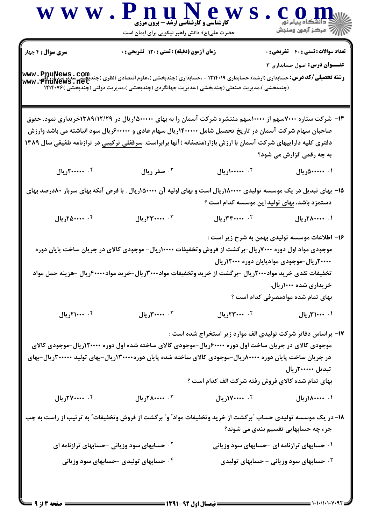| WWW.P                    | nuNew<br><b>ً کارشناسی و کارشناسی ارشد - برون مرزی</b><br>حضرت علی(ع): دانش راهبر نیکویی برای ایمان است                                                                                                                                               |                                                              | ے<br>\  / <sup>77</sup> مرکز آزمون وسنجش       |
|--------------------------|-------------------------------------------------------------------------------------------------------------------------------------------------------------------------------------------------------------------------------------------------------|--------------------------------------------------------------|------------------------------------------------|
| <b>سری سوال :</b> ۴ چهار | زمان آزمون (دقیقه) : تستی : ۱۲۰ تشریحی : ۰                                                                                                                                                                                                            |                                                              | <b>تعداد سوالات : تستی : 40 - تشریحی : 0</b>   |
|                          | <b>رشته تحصیلی/کد درس:</b> حسابداری (ارشد)،حسابداری ۱۲۱۴۰۱۹ - ،حسابداری (چندبخشی )،علوم اقتصادی (نظری )چندبخشی،مدیریت یازرگانی<br>www . PnuNews . net<br>(چندبخشی )،مدیریت صنعتی (چندبخشی )،مدیریت جهانگردی (چندبخشی )،مدیریت دولتی (چندبخشی )۱۲۱۴۰۷۶ |                                                              | <b>عنـــوان درس:</b> اصول حسابداری ۳           |
|                          | ۱۴– شرکت ستاره ۷۰۰۰سهم از ۱۰۰۰۰سهم منتشره شرکت آسمان را به بهای ۱۵۰۰۰۰۰(ریال در ۱۳۸۹/۱۲/۲۹خریداری نمود. حقوق<br>صاحبان سهام شرکت آسمان در تاریخ تحصیل شامل ۱۴۰۰۰۰۰(ریال سهام عادی و ۶۰۰۰۰۰۰ریال سود انباشته می باشد وارزش                             |                                                              |                                                |
|                          | دفتری کلیه داراییهای شرکت آسمان با ارزش بازار(منصفانه )آنها برابراست. <u>سرقفلی ترکیبی</u> در ترازنامه تلفیقی سال ۱۳۸۹                                                                                                                                |                                                              |                                                |
|                          |                                                                                                                                                                                                                                                       |                                                              | به چه رقمی گزارش می شود؟                       |
| ۰۴ منسم ۲۰۰۰۰ ریال       | ۰۳ صفر ریال                                                                                                                                                                                                                                           | ۰۲ <b>۱۰۰۰۰۰۰</b> ریال                                       | ۰۱ ۵۰۰۰۰۰۰ ریال                                |
|                          | ۱۵– بهای تبدیل در یک موسسه تولیدی ۱۸۰۰۰۰۰ریال است و بهای اولیه آن ۵۰۰۰۰۰ریال . با فرض آنکه بهای سربار ۸۰درصد بهای                                                                                                                                     | دستمزد باشد، بهای تولید این موسسه کدام است ؟                 |                                                |
| ۰۴ منده ۲۵۰۰۰۰           | ۰۳ مخبر ۱۳ ریال                                                                                                                                                                                                                                       | ۲. ۳ <b>۰۰۰۰۰۰ریال</b>                                       | ۰۱ ۲۸۰۰۰۰۰ ریال                                |
|                          |                                                                                                                                                                                                                                                       |                                                              | ۱۶– اطلاعات موسسه تولیدی بهمن به شرح زیر است : |
|                          | موجودی مواد اول دوره ۷۰۰۰ ریال-برگشت از فروش وتخفیفات ۱۰۰۰۰ ریال- موجودی کالای در جریان ساخت پایان دوره                                                                                                                                               |                                                              |                                                |
|                          |                                                                                                                                                                                                                                                       |                                                              | ۲۰۰۰۰ ریال-موجودی موادپایان دوره ۱۲۰۰۰ ریال    |
|                          | تخفیفات نقدی خرید مواد۲۰۰۰ریال –برگشت از خرید وتخفیفات مواد۳۰۰۰۳ریال–خرید مواد۴۰۰۰۰ریال –هزینه حمل مواد                                                                                                                                               |                                                              |                                                |
|                          |                                                                                                                                                                                                                                                       |                                                              | خریداری شده ۱۰۰۰ریال.                          |
|                          |                                                                                                                                                                                                                                                       |                                                              | بهای تمام شده موادمصرفی کدام است ؟             |
| ۰۴ ۲۱۰۰۰ اریال           | ۰۳ سه ۳۰۰۰۰ ریال                                                                                                                                                                                                                                      | <sup>٢</sup> ٠٠٠٠٠٢ريال                                      | ۰۱ ۲۱۰۰۰۰ ریال                                 |
|                          |                                                                                                                                                                                                                                                       | ۱۷- براساس دفاتر شرکت تولیدی الف موارد زیر استخراج شده است : |                                                |
|                          | موجودی کالای در جریان ساخت اول دوره ۶۰۰۰۰{ریال-موجودی کالای ساخته شده اول دوره ۱۲۰۰۰۰ریال-موجودی کالای                                                                                                                                                |                                                              |                                                |
|                          | در جریان ساخت پایان دوره ۸۰۰۰۰ریال-موجودی کالای ساخته شده پایان دوره۱۳۰۰۰۰۰ریال-بهای تولید ۳۰۰۰۰۰۰ریال-بهای                                                                                                                                           |                                                              |                                                |
|                          |                                                                                                                                                                                                                                                       |                                                              | تبدیل ۲۰۰۰۰۰۰ریال                              |
|                          |                                                                                                                                                                                                                                                       | بهای تمام شده کالای فروش رفته شرکت الف کدام است ؟            |                                                |
| ۰۴ ۲۷۰۰۰۰۰ ریال          | ۰۳ ۲۰۰۰۰۰۰ ریال                                                                                                                                                                                                                                       | ۲. <b>۱۷۰۰۰۰۰۰</b> ریال                                      | ۰۱ ۸۰۰۰۰۰۰۰ ریال                               |
|                          | ۱۸–در یک موسسه تولیدی حساب "برگشت از خرید وتخفیفات مواد" و" برگشت از فروش وتخفیفات" به ترتیب از راست به چپ                                                                                                                                            |                                                              | جزء چه حسابهایی تقسیم بندی می شوند؟            |
|                          | <sup>۲.</sup> حسابهای سود وزیانی -حسابهای ترازنامه ای                                                                                                                                                                                                 |                                                              | ۰۱ حسابهای ترازنامه ای -حسابهای سود وزیانی     |
|                          | ۰۴ حسابهای تولیدی -حسابهای سود وزیانی                                                                                                                                                                                                                 |                                                              | <b>۰۳ حسابهای سود وزیانی - حسابهای تولیدی</b>  |
|                          |                                                                                                                                                                                                                                                       |                                                              |                                                |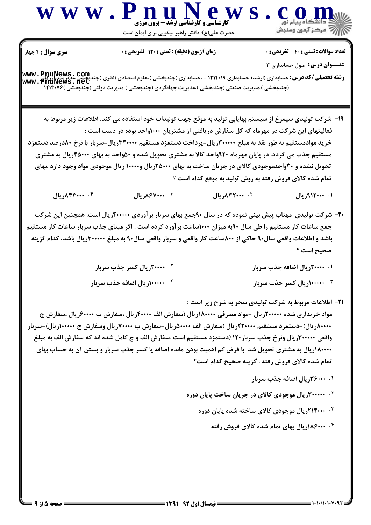

تعداد سوالات : تستى : 40 - تشريحي : 0

زمان آزمون (دقيقه) : تستى : 120 تشريحي : 0

**سری سوال :** ۴ چهار

**عنــوان درس:** اصول حسابداري ٣

**رشته تحصیلی/کد درس:** حسابداری (ارشد)،حسابداری ۱۲۱۴۰۱۹ - ،حسابداری (چندبخشی )،علوم اقتصادی (نظری )چندب<del>کمی ،مدیریت بازر کایی</del><br>- پیس این مدیریت بازرگی چیست www.PnuNews.net (چندبخشی )،مدیریت صنعتی (چندبخشی )،مدیریت جهانگردی (چندبخشی )،مدیریت دولتی (چندبخشی )۱۲۱۴۰۷۶

۱۹- شركت توليدي سيمرغ از سيستم بهايابي توليد به موقع جهت توليدات خود استفاده مي كند. اطلاعات زير مربوط به فعالیتهای این شرکت در مهرماه که کل سفارش دریافتی از مشتریان ۱۰۰۰واحد بوده در دست است : خرید موادمستقیم به طور نقد به مبلغ ۳۰۰۰۰۰ریال-پرداخت دستمزد مستقیم ۳۴۰۰۰۰ریال-سربار با نرخ ۸۰درصد دستمزد مستقیم جذب می گردد. در پایان مهرماه ۹۲۰واحد کالا به مشتری تحویل شده و ۵۰واحد به بهای ۴۵۰۰۰ریال به مشتری تحویل نشده و ۳۰واحدموجودی کالای در جریان ساخت به بهای ۲۵۰۰۰ ریال و۱۰۰۰۰ ریال موجودی مواد وجود دارد .بهای تمام شده کالای فروش رفته به روش تولید به موقع کدام است ؟

۰۴ ۸۴۳۰۰۰۰ ریال ۰۳ ۸۶۷۰۰۰ ریال  $11, \lambda$  T ...  $\cdot$  $1.$  .... 112, مال

- ۲۰– شرکت تولیدی ًمهتاب پیش بینی نموده که در سال ۹۰جمع بهای سربار بر آوردی ۴۰۰۰۰۰ریال است. همچنین این شرکت جمع ساعات کار مستقیم را طی سال ۹۰به میزان ۱۰۰۰ساعت بر آورد کرده است . اگر مبنای جذب سربار ساعات کار مستقیم باشد و اطلاعات واقعی سال۹۰ حاکی از ۸۰۰ساعت کار واقعی و سربار واقعی سال۹۰ به مبلغ ۳۰۰۰۰۰ریال باشد، کدام گزینه صحيح است ؟
	- ۰۲ **۲۰۰۰۰۰ ریال کسر جذب سربار** ۰۱ ۲۰۰۰۰۰ ریال اضافه جذب سربار ۰۴ **۱۰۰۰۰۰۰ ریال اضافه جذب سربار** ۰۳ - ۱۰۰۰۰۰ ریال کسر جذب سربار
- **۲۱** اطلاعات مربوط به شرکت تولیدی سحر به شرح زیر است : مواد خریداری شده ۲۰۰۰۰۰ ریال –مواد مصرفی ۱۸۰۰۰۰۰ ریال (سفارش الف ۴۰۰۰۰ ریال ،سفارش ب ۶۰۰۰۰ ریال ،سفارش ج ۸۰۰۰۰۸ریال)-دستمزد مستقیم ۲۲۰۰۰۰۰ریال (سفارش الف ۵۰۰۰۰مریال-سفارش ب ۷۰۰۰۰۰ریال وسفارش ج ۱۰۰۰۰۰۰ریال)-سربار واقعی ۳۰۰۰۰۰ ریال ونرخ جذب سربار ۱۲۰٪دستمزد مستقیم است .سفارش الف و ج کامل شده اند که سفارش الف به مبلغ ۱۸۰۰۰۰ (ریال به مشتری تحویل شد. با فرض کم اهمیت بودن مانده اضافه یا کسر جذب سربار و بستن آن به حساب بهای تمام شده کالای فروش رفته ، گزینه صحیح کدام است؟
	- ۰۱ ۴۶۰۰۰, بال اضافه جذب سربار
	- ۰<sup>۲</sup> ۳۰۰۰۰۰۰ریال موجودی کالای در جریان ساخت پایان دوره
		- ۰<sup>۳ ـ ۲</sup>۱۴۰۰۰ریال موجودی کالای ساخته شده پایان دوره
			- ۰۴ **۱۸۶۰۰۰۰ (ریال بهای تمام شده کالای فروش رفته**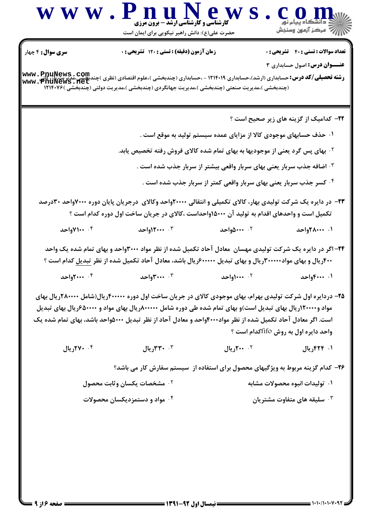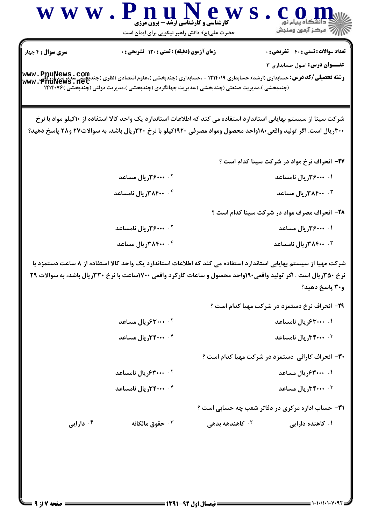

www.PnuNews.net (چندبخشی )،مدیریت صنعتی (چندبخشی )،مدیریت جهانگردی (چندبخشی )،مدیریت دولتی (چندبخشی )۱۲۱۴۰۷۶

شرکت سینا از سیستم بهایابی استاندارد استفاده می کند که اطلاعات استاندارد یک واحد کالا استفاده از ۲۰کیلو مواد با نرخ ۳۰۰ریال است. اگر تولید واقعی۸۰واحد محصول ومواد مصرفی ۱۹۲۰کیلو با نرخ ۳۲۰ریال باشد، به سوالات۲۷ و۲۸ پاسخ دهید؟

37- انحراف نرخ مواد در شرکت سینا کدام است ؟

| ۲. <b>۴۶۰۰۰۰ ریال مساعد</b> | ۰۱ ۴۶۰۰۰۰ ریال نامساعد           |
|-----------------------------|----------------------------------|
| ۰۴ ۲۸۴۰۰ ریال نامساعد       | <b>۰۳ مساعد ۳۸۴۰۰, پال مساعد</b> |

28- انحراف مصرف مواد در شركت سينا كدام است ؟

| ۰۲ <b>۴۰۰۰۰۰۰۰ ریال نامساعد</b> | ۰۱ ۴۶۰۰۰۰ریال مساعد  |
|---------------------------------|----------------------|
| <b>۴۰۰ ۳۸۴۰۰ ریال مساعد</b>     | ۰۳ ۲۰۰ ۳ریال نامساعد |

شرکت مهیا از سیستم بهایابی استاندارد استفاده می کند که اطلاعات استاندارد یک واحد کالا استفاده از ۸ ساعت دستمزد با نرخ ۳۵۰ریال است . اگر تولید واقعی۱۹۰واحد محصول و ساعات کارکرد واقعی ۱۷۰۰ساعت با نرخ ۳۳۰ریال باشد، به سوالات ۲۹ ٢٠٩ ياسخ دهيد؟

|                              | ۲۹- انحراف نرخ دستمزد در شرکت مهیا کدام است ؟ |
|------------------------------|-----------------------------------------------|
| ۲۰ <b>۰۰ ۴۰۰۰ دریال مساع</b> | ۰۱ ۴۰۰۰۰۰۰ ریال نامساعد                       |

۰۴ ۲۰۰۰ ۰۴ ریال مساعد ۰۳ ۴۰۰۰ ۰۳ ریال نامساعد

۳۰- انحراف کارائی دستمزد در شرکت مهیا کدام است ؟

- ۰۲ **۴۰۰۰۰۰۰ ریال نامساعد** ۰۱ ۴۰۰۰۰۰۰ ریال مساعد
- ۰۳ ۴۰۰۰ ۰۳ ریال مساعد ۰۴ ۴۰۰۰ ۰۴ ریال نامساعد

**۳۱**- حساب اداره مرکزی در دفاتر شعب چه حسابی است ؟

۰۴ دارایی ۲. کاهندهه بده<sub>ی</sub> حقوق مالكانه  $\cdot^7$ ۰۱ کاهنده دارایی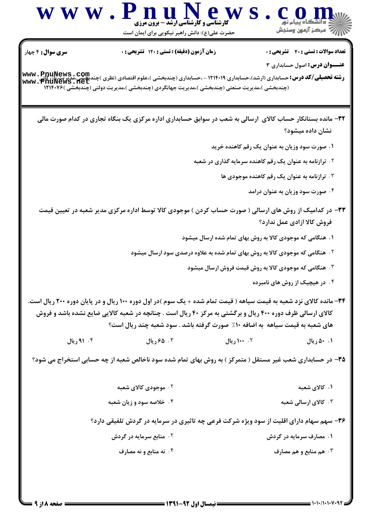